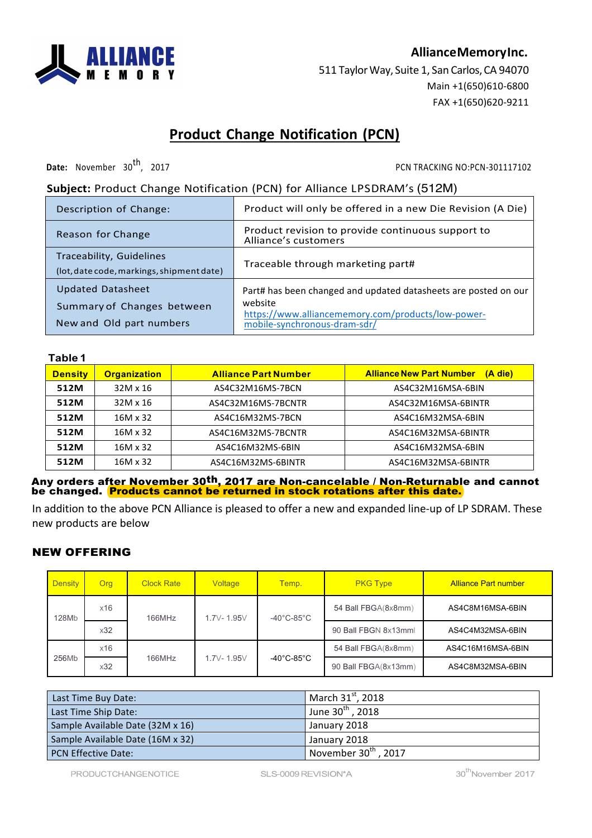

## **AllianceMemoryInc.**

511 Taylor Way, Suite 1, San Carlos, CA 94070 Main +1(650)610-6800 FAX +1(650)620-9211

# **Product Change Notification (PCN)**

**Date:** November 30<sup>th</sup>, 2017 2017 2017

## **Subject:** Product Change Notification (PCN) for Alliance LPSDRAM's (512M)

| Description of Change:                                                             | Product will only be offered in a new Die Revision (A Die)                                                                                                       |
|------------------------------------------------------------------------------------|------------------------------------------------------------------------------------------------------------------------------------------------------------------|
| Reason for Change                                                                  | Product revision to provide continuous support to<br>Alliance's customers                                                                                        |
| Traceability, Guidelines<br>(lot, date code, markings, shipment date)              | Traceable through marketing part#                                                                                                                                |
| <b>Updated Datasheet</b><br>Summary of Changes between<br>New and Old part numbers | Part# has been changed and updated datasheets are posted on our<br>website<br>https://www.alliancememory.com/products/low-power-<br>mobile-synchronous-dram-sdr/ |

### **Table 1**

| <b>Density</b> | <b>Organization</b>                                   | <b>Alliance Part Number</b> | <b>Alliance New Part Number</b><br>(A die) |  |  |
|----------------|-------------------------------------------------------|-----------------------------|--------------------------------------------|--|--|
| 512M           | $32M \times 16$                                       | AS4C32M16MS-7BCN            | AS4C32M16MSA-6BIN                          |  |  |
| 512M           | 32M x 16                                              | AS4C32M16MS-7BCNTR          | AS4C32M16MSA-6BINTR                        |  |  |
| 512M           | 16M x 32                                              | AS4C16M32MS-7BCN            | AS4C16M32MSA-6BIN                          |  |  |
| 512M           | 16M x 32                                              | AS4C16M32MS-7BCNTR          | AS4C16M32MSA-6BINTR                        |  |  |
| 512M           | 16M x 32<br>AS4C16M32MSA-6BIN<br>AS4C16M32MS-6BIN     |                             |                                            |  |  |
| 512M           | 16M x 32<br>AS4C16M32MS-6BINTR<br>AS4C16M32MSA-6BINTR |                             |                                            |  |  |

Any orders af<u>ter November 30<sup>th</sup>, 2017 are Non-cancelable / Non-Returnabl</u>e and cannot be changed. <mark>Products cannot be returned in stock rotations after this date.</mark>

In addition to the above PCN Alliance is pleased to offer a new and expanded line-up of LP SDRAM. These new products are below

## NEW OFFERING

| <b>Density</b> | Org | <b>Clock Rate</b> | Voltage    | Temp.                           | <b>PKG Type</b>      | <b>Alliance Part number</b> |
|----------------|-----|-------------------|------------|---------------------------------|----------------------|-----------------------------|
| 128Mb          | x16 | 166MHz            | 1.7V-1.95V | $-40^{\circ}$ C-85 $^{\circ}$ C | 54 Ball FBGA(8x8mm)  | AS4C8M16MSA-6BIN            |
|                | x32 |                   |            |                                 | 90 Ball FBGN 8x13mml | AS4C4M32MSA-6BIN            |
| 256Mb          | x16 | 166MHz            | 1.7V-1.95V | $-40^{\circ}$ C-85 $^{\circ}$ C | 54 Ball FBGA(8x8mm)  | AS4C16M16MSA-6BIN           |
|                | x32 |                   |            |                                 | 90 Ball FBGA(8x13mm) | AS4C8M32MSA-6BIN            |

| Last Time Buy Date:              | March 31 <sup>st</sup> , 2018    |
|----------------------------------|----------------------------------|
| Last Time Ship Date:             | June $30^{th}$ , 2018            |
| Sample Available Date (32M x 16) | January 2018                     |
| Sample Available Date (16M x 32) | January 2018                     |
| <b>PCN Effective Date:</b>       | November $30^{\text{th}}$ , 2017 |